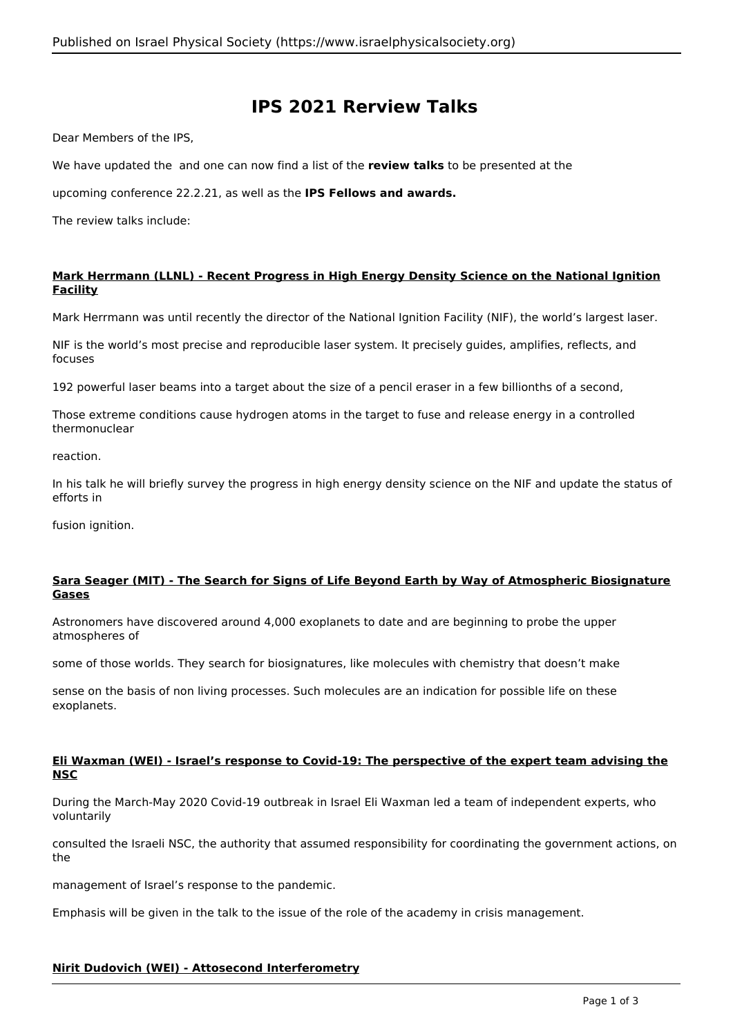# **IPS 2021 Rerview Talks**

Dear Members of the IPS,

We have updated the and one can now find a list of the **review talks** to be presented at the

upcoming conference 22.2.21, as well as the **IPS Fellows and awards.**

The review talks include:

# **Mark Herrmann (LLNL) - Recent Progress in High Energy Density Science on the National Ignition Facility**

Mark Herrmann was until recently the director of the National Ignition Facility (NIF), the world's largest laser.

NIF is the world's most precise and reproducible laser system. It precisely guides, amplifies, reflects, and focuses

192 powerful laser beams into a target about the size of a pencil eraser in a few billionths of a second,

Those extreme conditions cause hydrogen atoms in the target to fuse and release energy in a controlled thermonuclear

reaction.

In his talk he will briefly survey the progress in high energy density science on the NIF and update the status of efforts in

fusion ignition.

# **Sara Seager (MIT) - The Search for Signs of Life Beyond Earth by Way of Atmospheric Biosignature Gases**

Astronomers have discovered around 4,000 exoplanets to date and are beginning to probe the upper atmospheres of

some of those worlds. They search for biosignatures, like molecules with chemistry that doesn't make

sense on the basis of non living processes. Such molecules are an indication for possible life on these exoplanets.

## **Eli Waxman (WEI) - Israel's response to Covid-19: The perspective of the expert team advising the NSC**

During the March-May 2020 Covid-19 outbreak in Israel Eli Waxman led a team of independent experts, who voluntarily

consulted the Israeli NSC, the authority that assumed responsibility for coordinating the government actions, on the

management of Israel's response to the pandemic.

Emphasis will be given in the talk to the issue of the role of the academy in crisis management.

# **Nirit Dudovich (WEI) - Attosecond Interferometry**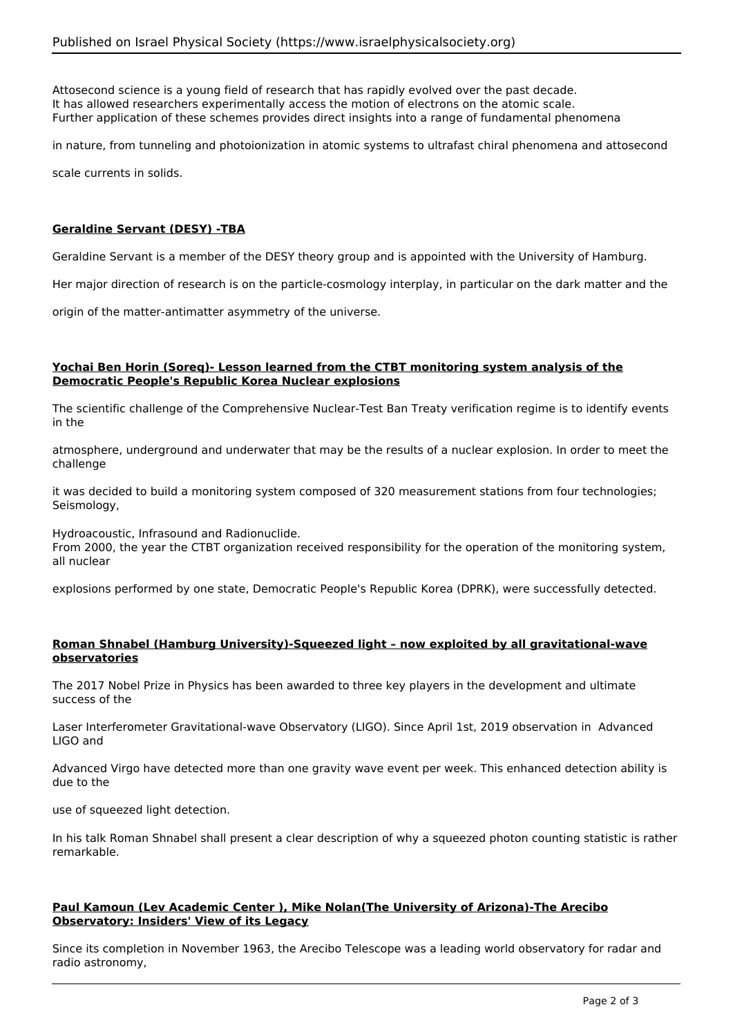Attosecond science is a young field of research that has rapidly evolved over the past decade. It has allowed researchers experimentally access the motion of electrons on the atomic scale. Further application of these schemes provides direct insights into a range of fundamental phenomena

in nature, from tunneling and photoionization in atomic systems to ultrafast chiral phenomena and attosecond

scale currents in solids.

## **Geraldine Servant (DESY) -TBA**

Geraldine Servant is a member of the DESY theory group and is appointed with the University of Hamburg.

Her major direction of research is on the particle-cosmology interplay, in particular on the dark matter and the

origin of the matter-antimatter asymmetry of the universe.

#### **Yochai Ben Horin (Soreq)- Lesson learned from the CTBT monitoring system analysis of the Democratic People's Republic Korea Nuclear explosions**

The scientific challenge of the Comprehensive Nuclear-Test Ban Treaty verification regime is to identify events in the

atmosphere, underground and underwater that may be the results of a nuclear explosion. In order to meet the challenge

it was decided to build a monitoring system composed of 320 measurement stations from four technologies; Seismology,

Hydroacoustic, Infrasound and Radionuclide.

From 2000, the year the CTBT organization received responsibility for the operation of the monitoring system, all nuclear

explosions performed by one state, Democratic People's Republic Korea (DPRK), were successfully detected.

## **Roman Shnabel (Hamburg University)-Squeezed light – now exploited by all gravitational-wave observatories**

The 2017 Nobel Prize in Physics has been awarded to three key players in the development and ultimate success of the

Laser Interferometer Gravitational-wave Observatory (LIGO). Since April 1st, 2019 observation in Advanced LIGO and

Advanced Virgo have detected more than one gravity wave event per week. This enhanced detection ability is due to the

use of squeezed light detection.

In his talk Roman Shnabel shall present a clear description of why a squeezed photon counting statistic is rather remarkable.

## **Paul Kamoun (Lev Academic Center ), Mike Nolan(The University of Arizona)-The Arecibo Observatory: Insiders' View of its Legacy**

Since its completion in November 1963, the Arecibo Telescope was a leading world observatory for radar and radio astronomy,